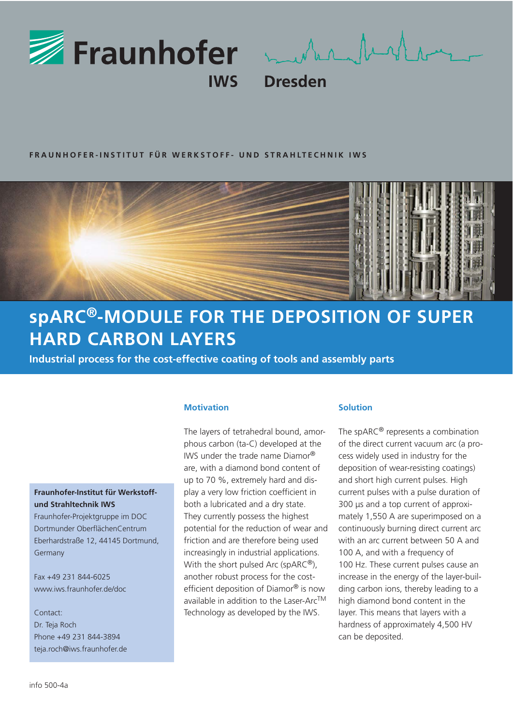

munich for the same

**Dresden** 

## **FRAUNHOFER-INSTITUT FÜR WERKSTOFF- UND STRAHLTECHNIK IWS**



# **spARC®-MODULE FOR THE DEPOSITION OF SUPER HARD CARBON LAYERS**

**Industrial process for the cost-effective coating of tools and assembly parts** 

## **Fraunhofer-Institut für Werkstoffund Strahltechnik IWS**

Fraunhofer-Projektgruppe im DOC Dortmunder OberflächenCentrum Eberhardstraße 12, 44145 Dortmund, Germany

Fax +49 231 844-6025 www.iws.fraunhofer.de/doc

Contact: Dr. Teja Roch Phone +49 231 844-3894 teja.roch@iws.fraunhofer.de

## **Motivation**

The layers of tetrahedral bound, amorphous carbon (ta-C) developed at the IWS under the trade name Diamor® are, with a diamond bond content of up to 70 %, extremely hard and display a very low friction coefficient in both a lubricated and a dry state. They currently possess the highest potential for the reduction of wear and friction and are therefore being used increasingly in industrial applications. With the short pulsed Arc (spARC®), another robust process for the costefficient deposition of Diamor® is now available in addition to the Laser-ArcTM Technology as developed by the IWS.

#### **Solution**

The spARC® represents a combination of the direct current vacuum arc (a process widely used in industry for the deposition of wear-resisting coatings) and short high current pulses. High current pulses with a pulse duration of 300 μs and a top current of approximately 1,550 A are superimposed on a continuously burning direct current arc with an arc current between 50 A and 100 A, and with a frequency of 100 Hz. These current pulses cause an increase in the energy of the layer-building carbon ions, thereby leading to a high diamond bond content in the layer. This means that layers with a hardness of approximately 4,500 HV can be deposited.